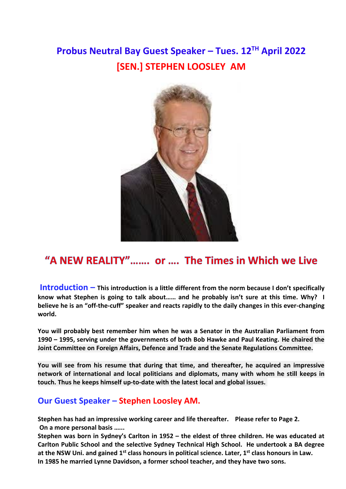## **Probus Neutral Bay Guest Speaker – Tues. 12TH April 2022 [SEN.] STEPHEN LOOSLEY AM**



## "A NEW REALITY"....... or .... The Times in Which we Live

**Introduction – This introduction is a little different from the norm because I don't specifically know what Stephen is going to talk about…… and he probably isn't sure at this time. Why? I believe he is an "off-the-cuff" speaker and reacts rapidly to the daily changes in this ever-changing world.**

**You will probably best remember him when he was a Senator in the Australian Parliament from 1990 – 1995, serving under the governments of both Bob Hawke and Paul Keating. He chaired the Joint Committee on Foreign Affairs, Defence and Trade and the Senate Regulations Committee.**

**You will see from his resume that during that time, and thereafter, he acquired an impressive network of international and local politicians and diplomats, many with whom he still keeps in touch. Thus he keeps himself up-to-date with the latest local and global issues.** 

## **Our Guest Speaker – Stephen Loosley AM.**

**Stephen has had an impressive working career and life thereafter. Please refer to Page 2. On a more personal basis …...**

**Stephen was born in Sydney's Carlton in 1952 – the eldest of three children. He was educated at Carlton Public School and the selective Sydney Technical High School. He undertook a BA degree at the NSW Uni. and gained 1st class honours in political science. Later, 1st class honours in Law. In 1985 he married Lynne Davidson, a former school teacher, and they have two sons.**